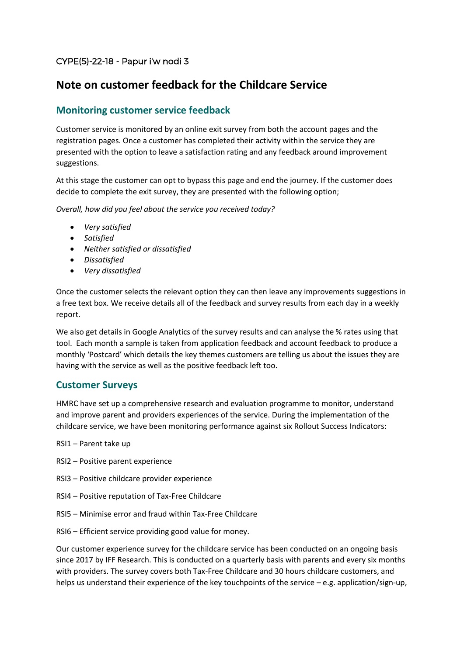## CYPE(5)-22-18 - Papur i'w nodi 3

# **Note on customer feedback for the Childcare Service**

### **Monitoring customer service feedback**

Customer service is monitored by an online exit survey from both the account pages and the registration pages. Once a customer has completed their activity within the service they are presented with the option to leave a satisfaction rating and any feedback around improvement suggestions.

At this stage the customer can opt to bypass this page and end the journey. If the customer does decide to complete the exit survey, they are presented with the following option;

*Overall, how did you feel about the service you received today?* 

- *Very satisfied*
- *Satisfied*
- *Neither satisfied or dissatisfied*
- *Dissatisfied*
- *Very dissatisfied*

Once the customer selects the relevant option they can then leave any improvements suggestions in a free text box. We receive details all of the feedback and survey results from each day in a weekly report.

We also get details in Google Analytics of the survey results and can analyse the % rates using that tool. Each month a sample is taken from application feedback and account feedback to produce a monthly 'Postcard' which details the key themes customers are telling us about the issues they are having with the service as well as the positive feedback left too.

### **Customer Surveys**

HMRC have set up a comprehensive research and evaluation programme to monitor, understand and improve parent and providers experiences of the service. During the implementation of the childcare service, we have been monitoring performance against six Rollout Success Indicators:

- RSI1 Parent take up
- RSI2 Positive parent experience
- RSI3 Positive childcare provider experience
- RSI4 Positive reputation of Tax-Free Childcare
- RSI5 Minimise error and fraud within Tax-Free Childcare
- RSI6 Efficient service providing good value for money.

Our customer experience survey for the childcare service has been conducted on an ongoing basis since 2017 by IFF Research. This is conducted on a quarterly basis with parents and every six months with providers. The survey covers both Tax-Free Childcare and 30 hours childcare customers, and helps us understand their experience of the key touchpoints of the service – e.g. application/sign-up,